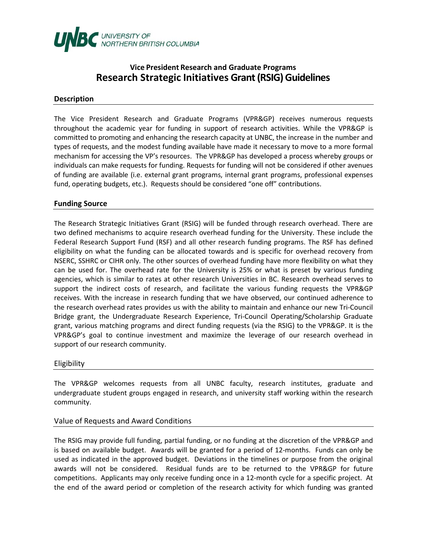

# **Vice President Research and Graduate Programs Research Strategic Initiatives Grant (RSIG) Guidelines**

#### **Description**

The Vice President Research and Graduate Programs (VPR&GP) receives numerous requests throughout the academic year for funding in support of research activities. While the VPR&GP is committed to promoting and enhancing the research capacity at UNBC, the increase in the number and types of requests, and the modest funding available have made it necessary to move to a more formal mechanism for accessing the VP's resources. The VPR&GP has developed a process whereby groups or individuals can make requests for funding. Requests for funding will not be considered if other avenues of funding are available (i.e. external grant programs, internal grant programs, professional expenses fund, operating budgets, etc.). Requests should be considered "one off" contributions.

# **Funding Source**

The Research Strategic Initiatives Grant (RSIG) will be funded through research overhead. There are two defined mechanisms to acquire research overhead funding for the University. These include the Federal Research Support Fund (RSF) and all other research funding programs. The RSF has defined eligibility on what the funding can be allocated towards and is specific for overhead recovery from NSERC, SSHRC or CIHR only. The other sources of overhead funding have more flexibility on what they can be used for. The overhead rate for the University is 25% or what is preset by various funding agencies, which is similar to rates at other research Universities in BC. Research overhead serves to support the indirect costs of research, and facilitate the various funding requests the VPR&GP receives. With the increase in research funding that we have observed, our continued adherence to the research overhead rates provides us with the ability to maintain and enhance our new Tri-Council Bridge grant, the Undergraduate Research Experience, Tri-Council Operating/Scholarship Graduate grant, various matching programs and direct funding requests (via the RSIG) to the VPR&GP. It is the VPR&GP's goal to continue investment and maximize the leverage of our research overhead in support of our research community.

#### Eligibility

The VPR&GP welcomes requests from all UNBC faculty, research institutes, graduate and undergraduate student groups engaged in research, and university staff working within the research community.

#### Value of Requests and Award Conditions

The RSIG may provide full funding, partial funding, or no funding at the discretion of the VPR&GP and is based on available budget. Awards will be granted for a period of 12-months. Funds can only be used as indicated in the approved budget. Deviations in the timelines or purpose from the original awards will not be considered. Residual funds are to be returned to the VPR&GP for future competitions. Applicants may only receive funding once in a 12-month cycle for a specific project. At the end of the award period or completion of the research activity for which funding was granted